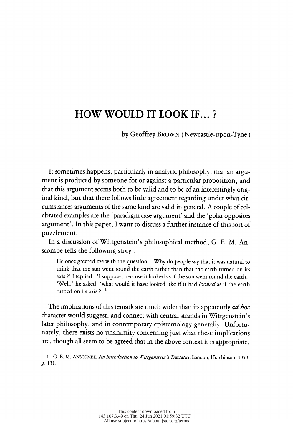# HOW WOULD IT LOOK IF...?

by Geoffrey BROWN (Newcastle-upon-Tyne)

 It sometimes happens, particularly in analytic philosophy, that an argu ment is produced by someone for or against a particular proposition, and that this argument seems both to be valid and to be of an interestingly orig inal kind, but that there follows little agreement regarding under what cir cumstances arguments of the same kind are valid in general. A couple of cel ebrated examples are the 'paradigm case argument' and the 'polar opposites argument'. In this paper, I want to discuss a further instance of this sort of puzzlement.

 In a discussion of Wittgenstein's philosophical method, G. E. M. An scombe tells the following story :

 He once greeted me with the question : 'Why do people say that it was natural to think that the sun went round the earth rather than that the earth turned on its axis ?' I replied : 'I suppose, because it looked as if the sun went round the earth.' 'Well,' he asked, 'what would it have looked like if it had looked as if the earth turned on its axis  $?$ '  $<sup>1</sup>$ </sup>

The implications of this remark are much wider than its apparently *ad hoc*  character would suggest, and connect with central strands in Wittgenstein's later philosophy, and in contemporary epistemology generally. Unfortu nately, there exists no unanimity concerning just what these implications are, though all seem to be agreed that in the above context it is appropriate,

1. G. E. M. ANSCOMBE, An Introduction to Wittgenstein's Tractatus. London, Hutchinson, 1959, p. 151.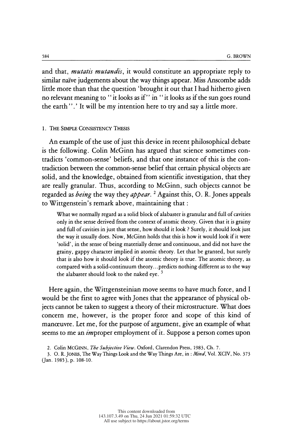<sup>584</sup><br>and that, *mutatis mutandis*, it would constitute an appropriate reply to<br>similar naïve judgements about the way things appear. Miss Anscombe adds <sup>584</sup><br>and that, *mutatis mutandis*, it would constitute an appropriate reply to<br>similar naïve judgements about the way things appear. Miss Anscombe adds<br>little more than that the question 'brought it out that I had hithert and that, *mutatis mutandis*, it would constitute an appropriate reply to similar naïve judgements about the way things appear. Miss Anscombe adds little more than that the question 'brought it out that I had hitherto give similar naïve judgements about the way things appear. Miss Anscombe adds<br>little more than that the question 'brought it out that I had hitherto given<br>no relevant meaning to " it looks as if " in " it looks as if the sun go similar naive judgements about the way things appear. Miss Anscombe adds<br>little more than that the question 'brought it out that I had hitherto given<br>no relevant meaning to "it looks as if" in "it looks as if the sun goes

#### 1. The Simple Consistency Thesis

 An example of the use of just this device in recent philosophical debate is the following. Colin McGinn has argued that science sometimes con tradicts 'common-sense' beliefs, and that one instance of this is the con tradiction between the common-sense belief that certain physical objects are solid, and the knowledge, obtained from scientific investigation, that they are really granular. Thus, according to McGinn, such objects cannot be regarded as *being* the way they *appear*.<sup>2</sup> Against this, O. R. Jones appeals to Wittgenstein's remark above, maintaining that :

 What we normally regard as a solid block of alabaster is granular and full of cavities only in the sense derived from the context of atomic theory. Given that it is grainy and full of cavities in just that sense, how should it look ? Surely, it should look just the way it usually does. Now, McGinn holds that this is how it would look if it were 'solid' , in the sense of being materially dense and continuous, and did not have the grainy, gappy character implied in atomic theory. Let that be granted, but surely that is also how it should look if the atomic theory is true. The atomic theory, as compared with a solid-continuum theory. . .predicts nothing different as to the way the alabaster should look to the naked eye.  $3$ 

 Here again, the Wittgensteinian move seems to have much force, and I would be the first to agree with Jones that the appearance of physical ob jects cannot be taken to suggest a theory of their microstructure. What does concern me, however, is the proper force and scope of this kind of manœuvre. Let me, for the purpose of argument, give an example of what seems to me an *im* proper employment of it. Suppose a person comes upon

<sup>2.</sup> Colin McGINN, The Subjective View. Oxford, Clarendon Press, 1983, Ch. 7.

<sup>3.</sup> O. R. JONES, The Way Things Look and the Way Things Are, in : *Mind*, Vol. XCIV, No. 373 (Jan. 1985), p. 108-10.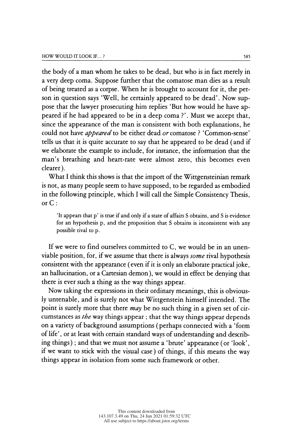the body of a man whom he takes to be dead, but who is in fact merely in a very deep coma. Suppose further that the comatose man dies as a result of being treated as a corpse. When he is brought to account for it, the per son in question says 'Well, he certainly appeared to be dead'. Now sup pose that the lawyer prosecuting him replies 'But how would he have ap peared if he had appeared to be in a deep coma ?'. Must we accept that, since the appearance of the man is consistent with both explanations, he could not have appeared to be either dead or comatose ? 'Common-sense' tells us that it is quite accurate to say that he appeared to be dead (and if we elaborate the example to include, for instance, the information that the man's breathing and heart-rate were almost zero, this becomes even clearer).

 What I think this shows is that the import of the Wittgensteinian remark is not, as many people seem to have supposed, to be regarded as embodied in the following principle, which I will call the Simple Consistency Thesis, or C :

 'It appears that p' is true if and only if a state of affairs S obtains, and S is evidence for an hypothesis p, and the proposition that S obtains is inconsistent with any possible rival to p.

 If we were to find ourselves committed to C, we would be in an unen viable position, for, if we assume that there is always some rival hypothesis consistent with the appearance (even if it is only an elaborate practical joke, an hallucination, or a Cartesian demon), we would in effect be denying that there is ever such a thing as the way things appear.

 Now taking the expressions in their ordinary meanings, this is obvious ly untenable, and is surely not what Wittgenstein himself intended. The point is surely more that there  $may$  be no such thing in a given set of cir cumstances as the way things appear ; that the way things appear depends on a variety of background assumptions (perhaps connected with a 'form of life' , or at least with certain standard ways of understanding and describ ing things) ; and that we must not assume a 'brute' appearance (or 'look', if we want to stick with the visual case) of things, if this means the way things appear in isolation from some such framework or other.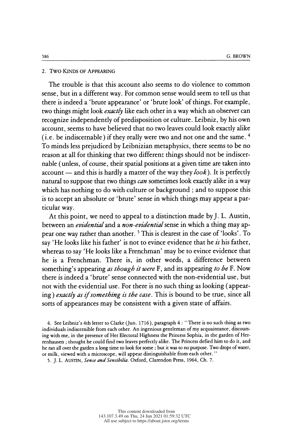### 2. Two Kinds of Appearing

 The trouble is that this account also seems to do violence to common sense, but in a different way. For common sense would seem to tell us that there is indeed a 'brute appearance' or ' brute look' of things. For example, two things might look *exactly* like each other in a way which an observer can recognize independently of predisposition or culture. Leibniz, by his own account, seems to have believed that no two leaves could look exactly alike (i.e. be indiscernable) if they really were two and not one and the same. 4 To minds less prejudiced by Leibnizian metaphysics, there seems to be no reason at all for thinking that two different things should not be indiscer nable (unless, of course, their spatial positions at a given time are taken into account — and this is hardly a matter of the way they  $look$ ). It is perfectly natural to suppose that two things *can* sometimes look exactly alike in a way which has nothing to do with culture or background ; and to suppose this is to accept an absolute or 'brute' sense in which things may appear a particular way.

 At this point, we need to appeal to a distinction made by J. L. Austin, between an *evidential* and a *non-evidential* sense in which a thing may ap pear one way rather than another. 5 This is clearest in the case of 'looks' . To say 'He looks like his father' is not to evince evidence that he is his father, whereas to say 'He looks like a Frenchman' may be to evince evidence that he is a Frenchman. There is, in other words, a difference between something's appearing as though it were F, and its appearing to be F. Now there is indeed a 'brute' sense connected with the non-evidential use, but not with the evidential use. For there is no such thing as looking ( appear ing) exactly as if something is the case. This is bound to be true, since all sorts of appearances may be consistent with a given state of affairs.

 4. See Leibniz's 4th letter to Clarke (Jun. 1716), paragraph 4 : "There is no such thing as two individuals indiscernible from each other. An ingenious gentleman of my acquaintance, discours ing with me, in the presence of Her Electoral Highness the Princess Sophia, in the garden of Her renhausen ; thought he could find two leaves perfectly alike. The Princess defied him to do it, and he ran all over the garden a long time to look for some ; but it was to no purpose. Two drops of water, or milk, viewed with a microscope, will appear distinguishable from each other. "

5. J. L. AUSTIN, Sense and Sensibilia. Oxford, Clarendon Press, 1964, Ch. 7.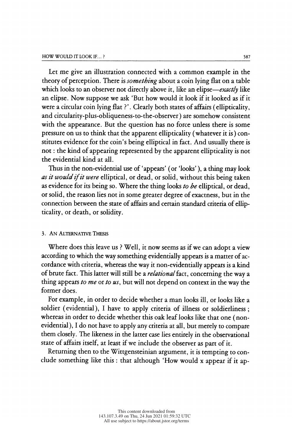Let me give an illustration connected with a common example in the theory of perception. There is *something* about a coin lying flat on a table which looks to an observer not directly above it, like an elipse—exactly like an elipse. Now suppose we ask 'But how would it look if it looked as if it were a circular coin lying flat ?'. Clearly both states of affairs (ellipticality, and circularity-plus-obliqueness-to-the-observer) are somehow consistent with the appearance. But the question has no force unless there is some pressure on us to think that the apparent ellipticality (whatever it is) con stitutes evidence for the coin's being elliptical in fact. And usually there is stitutes evidence for the com's being emptical in fact. And usually there is<br>not: the kind of appearing represented by the apparent ellipticality is not not : the kind of appearing represented by the apparent ellipticality is not<br>the evidential kind at all. the evidential kind at all.<br>Thus in the non-evidential use of 'appears' (or 'looks'), a thing may look

as it would if it were elliptical, or dead, or solid, without this being taken as evidence for its being so. Where the thing looks to be elliptical, or dead, or solid, the reason lies not in some greater degree of exactness, but in the or sond, the reason hes not in some greater degree or exactness, but in the<br>connection between the state of affairs and certain standard criteria of ellipconnection between the state or arrairs and certain standard criteria or emp-<br>ticality, or death, or solidity.

# 3. An Alternative Thesis

 Where does this leave us ? Well, it now seems as if we can adopt a view according to which the way something evidentially appears is a matter of ac cordance with criteria, whereas the way it non-evidentially appears is a kind of brute fact. This latter will still be a *relational* fact, concerning the way a thing appears to me or to  $u_s$ , but will not depend on context in the way the former does.

 For example, in order to decide whether a man looks ill, or looks like a soldier (evidential), I have to apply criteria of illness or soldierliness ; whereas in order to decide whether this oak leaf looks like that one (non evidential), I do not have to apply any criteria at all, but merely to compare them closely. The likeness in the latter case lies entirely in the observational state of affairs itself, at least if we include the observer as part of it.

 Returning then to the Wittgensteinian argument, it is tempting to con clude something like this : that although 'How would x appear if it ap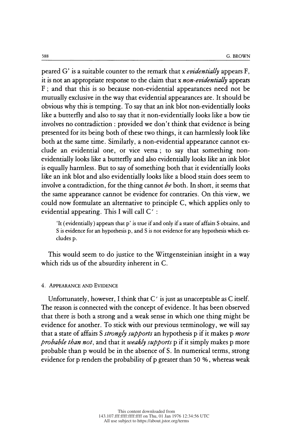<sup>588</sup><br>peared G' is a suitable counter to the remark that x *evidentially* appears F,<br>it is not an appropriate response to the claim that x *non-evidentially* appears <sup>588</sup><br>
geared G' is a suitable counter to the remark that x *evidentially* appears F,<br>
it is not an appropriate response to the claim that x *non-evidentially* appears<br>
F; and that this is so because non-evidential appeara Framework of the set of the set of the set of the set of the set of the set of the claim that x *evidentially* appears F, it is not an appropriate response to the claim that x *non-evidentially* appears F; and that this is peared G' is a suitable counter to the remark that x *evidentially* appears F,<br>it is not an appropriate response to the claim that x *non-evidentially* appears<br>F; and that this is so because non-evidential appearances need it is not an appropriate response to the claim that x *non-evidentially* appears<br>F; and that this is so because non-evidential appearances need not be<br>mutually exclusive in the way that evidential appearances are. It shoul F; and that this is so because non-evidential appearances need not be<br>mutually exclusive in the way that evidential appearances are. It should be<br>obvious why this is tempting. To say that an ink blot non-evidentially looks mutually exclusive in the way that evidential appearances are. It should be<br>obvious why this is tempting. To say that an ink blot non-evidentially looks<br>like a butterfly and also to say that it non-evidentially looks like obvious why this is tempting. To say that an ink blot non-evidentially looks<br>like a butterfly and also to say that it non-evidentially looks like a bow tie<br>involves no contradiction : provided we don't think that evidence like a butterfly and also to say that it non-evidentially looks like a bow tie<br>involves no contradiction : provided we don't think that evidence is being<br>presented for its being both of these two things, it can harmlessly involves no contradiction : provided we don't think that evidence is being<br>presented for its being both of these two things, it can harmlessly look like<br>both at the same time. Similarly, a non-evidential appearance cannot presented for its being both of these two things, it can harmlessly look like<br>both at the same time. Similarly, a non-evidential appearance cannot ex-<br>clude an evidential one, or vice versa; to say that something non-<br>evid both at the same time. Similarly, a non-evidential appearance cannot ex-<br>clude an evidential one, or vice versa; to say that something non-<br>evidentially looks like a butterfly and also evidentially looks like an ink blot<br>i clude an evidential one, or vice versa; to say that something non-<br>evidentially looks like a butterfly and also evidentially looks like an ink blot<br>is equally harmless. But to say of something both that it evidentially loo evidentially looks like a butterfly and also evidentially looks like an ink blot<br>is equally harmless. But to say of something both that it evidentially looks<br>like an ink blot and also evidentially looks like a blood stain is equally harmless. But to say of something both that it evidentially looks<br>like an ink blot and also evidentially looks like a blood stain does seem to<br>involve a contradiction, for the thing cannot  $be$  both. In short, i like an ink blot and also evidentially looks like a blood stain does seem to involve a contradiction, for the thing cannot  $be$  both. In short, it seems that the same appearance cannot be evidence for contraries. On this v involve a contradiction, for the thing cannot *be* both. In short, it seems that<br>the same appearance cannot be evidence for contraries. On this view, we<br>could now formulate an alternative to principle C, which applies onl now formulate an alternative to principle C, which applies only to<br>ntial appearing. This I will call C':<br>'It (evidentially) appears that p' is true if and only if a state of affairs S obtains, and<br>S is evidence for an hyp

ntial appearing. This I will call  $C'$ :<br>'It (evidentially) appears that p' is true if and only if a state of affairs S obtains, and S is evidence for an hypothesis p, and S is not evidence for any hypothesis which exclude cludes p.

 This would seem to do justice to the Wittgensteinian insight in a way which rids us of the absurdity inherent in C.

## 4. Appearance and Evidence

Unfortunately, however, I think that  $C'$  is just as unacceptable as C itself. The reason is connected with the concept of evidence. It has been observed that there is both a strong and a weak sense in which one thing might be evidence for another. To stick with our previous terminology, we will say that a state of affairs S *strongly supports* an hypothesis p if it makes p *more* probable than not, and that it weakly supports p if it simply makes p more probable than p would be in the absence of S. In numerical terms, strong evidence for p renders the probability of p greater than 50 % , whereas weak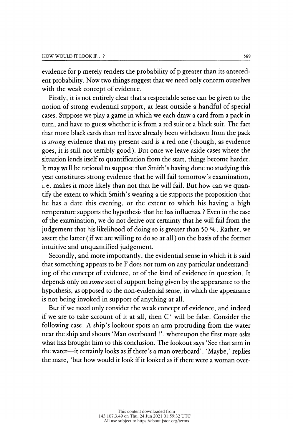evidence for p merely renders the probability of p greater than its anteced evidence for p merely renders the probability of p greater than its anteced-<br>ent probability. Now two things suggest that we need only concern ourselves ent probability. Now two things suggest that we need only concern ourselves<br>with the weak concept of evidence.<br>Final side as capital selective as a stable same can be since to the with the weak concept of evidence.<br>Firstly, it is not entirely clear that a respectable sense can be given to the

 notion of strong evidential support, at least outside a handful of special cases. Suppose we play a game in which we each draw a card from a pack in turn, and have to guess whether it is from a red suit or a black suit. The fact that more black cards than red have already been withdrawn from the pack is *strong* evidence that my present card is a red one (though, as evidence goes, it is still not terribly good). But once we leave aside cases where the situation lends itself to quantification from the start, things become harder. It may well be rational to suppose that Smith's having done no studying this year constitutes strong evidence that he will fail tomorrow's examination, i.e. makes it more likely than not that he will fail. But how can we quan tify the extent to which Smith's wearing a tie supports the proposition that he has a date this evening, or the extent to which his having a high temperature supports the hypothesis that he has influenza ? Even in the case of the examination, we do not derive our certainty that he will fail from the judgement that his likelihood of doing so is greater than 50 % . Rather, we judgement that his likelihood of doing so is greater than 30 %. Kather, we<br>assert the latter (if we are willing to do so at all) on the basis of the former assert the latter (if we are willing to do so at all) on the basis of the former<br>intuitive and unquantified judgement.<br>Secondly and mass importantly the suidential sense in which is is said. intuitive and unquantified judgement.<br>Secondly, and more importantly, the evidential sense in which it is said

 that something appears to be F does not turn on any particular understand ing of the concept of evidence, or of the kind of evidence in question. It depends only on *some* sort of support being given by the appearance to the hypothesis, as opposed to the non-evidential sense, in which the appearance is not being invoked in support of anything at all.

 But if we need only consider the weak concept of evidence, and indeed if we are to take account of it at all, then  $C'$  will be false. Consider the following case. A ship's lookout spots an arm protruding from the water near the ship and shouts 'Man overboard ! ' , whereupon the first mate asks what has brought him to this conclusion. The lookout says 'See that arm in the water--it certainly looks as if there's a man overboard'. 'Maybe,' replies the mate, 'but how would it look if it looked as if there were a woman over-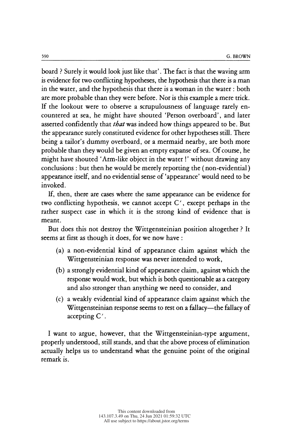<sup>590</sup><br>
board ? Surely it would look just like that'. The fact is that the waving arm<br>
is evidence for two conflicting hypotheses, the hypothesis that there is a man<br>
in the water, and the hypothesis that there is a woman i board ? Surely it would look just like that' . The fact is that the waving arm board ? Surely it would look just like that'. The fact is that the waving arm<br>is evidence for two conflicting hypotheses, the hypothesis that there is a man<br>in the water, and the hypothesis that there is a woman in the wat board ? Surely it would look just like that'. The fact is that the waving arm<br>is evidence for two conflicting hypotheses, the hypothesis that there is a man<br>in the water, and the hypothesis that there is a woman in the wat is evidence for two conflicting hypotheses, the hypothesis that there is a man<br>in the water, and the hypothesis that there is a woman in the water : both<br>are more probable than they were before. Nor is this example a mere in the water, and the hypothesis that there is a woman in the water: both<br>are more probable than they were before. Nor is this example a mere trick.<br>If the lookout were to observe a scrupulousness of language rarely en-<br>co are more probable than they were before. Nor is this example a mere trick.<br>If the lookout were to observe a scrupulousness of language rarely encountered at sea, he might have shouted 'Person overboard', and later<br>asserted If the lookout were to observe a scrupulousness of language rarely encountered at sea, he might have shouted 'Person overboard', and later asserted confidently that *that* was indeed how things appeared to be. But the appe countered at sea, he might have shouted 'Person overboard', and later<br>asserted confidently that *that* was indeed how things appeared to be. But<br>the appearance surely constituted evidence for other hypotheses still. There<br> asserted confidently that *that* was indeed how things appeared to be. But<br>the appearance surely constituted evidence for other hypotheses still. There<br>being a tailor's dummy overboard, or a mermaid nearby, are both more<br>p the appearance surely constituted evidence for other hypotheses still. There<br>being a tailor's dummy overboard, or a mermaid nearby, are both more<br>probable than they would be given an empty expanse of sea. Of course, he<br>mig being a tailor's dummy overboard, or a mermaid nearby, are both more<br>probable than they would be given an empty expanse of sea. Of course, he<br>might have shouted 'Arm-like object in the water!' without drawing any<br>conclusio probable than they would be given an empty expanse of sea. Of course, he might have shouted 'Arm-like object in the water!' without drawing any conclusions : but then he would be merely reporting the (non-evidential) appea might have shouted 'Arm-like object in the water!' without drawing any conclusions : but then he would be merely reporting the (non-evidential) appearance itself, and no evidential sense of 'appearance' would need to be in nclusions : but then he would be merely reporting the (non-evidential)<br>pearance itself, and no evidential sense of 'appearance' would need to be<br>voked.<br>If, then, there are cases where the same appearance can be evidence fo

appearance itself, and no evidential sense of 'appearance' would need to be<br>invoked.<br>If, then, there are cases where the same appearance can be evidence for<br>two conflicting hypothesis, we cannot accept C', except perhaps i invoked.<br>If, then, there are cases where the same appearance can be evidence for<br>two conflicting hypothesis, we cannot accept C', except perhaps in the<br>rather suspect case in which it is the strong kind of evidence that is meant.

 But does this not destroy the Wittgensteinian position altogether ? It seems at first as though it does, for we now have :

- (a) a non-evidential kind of appearance claim against which the Wittgensteinian response was never intended to work,
- (b) a strongly evidential kind of appearance claim, against which the response would work, but which is both questionable as a category and also stronger than anything we need to consider, and
- (c) a weakly evidential kind of appearance claim against which the Wittgensteinian response seems to rest on a fallacy—the fallacy of accepting C'.

 I want to argue, however, that the Wittgensteinian-type argument, properly understood, still stands, and that the above process of elimination actually helps us to understand what the genuine point of the original remark is.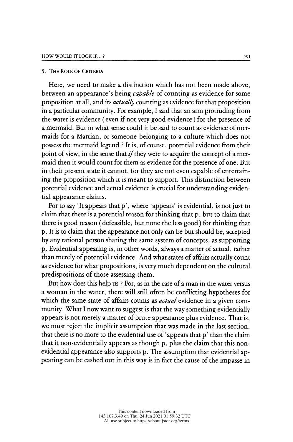#### 5. The Role of Criteria

 Here, we need to make a distinction which has not been made above, between an appearance's being *capable* of counting as evidence for some proposition at all, and its *actually* counting as evidence for that proposition in a particular community. For example, I said that an arm protruding from the water is evidence ( even if not very good evidence ) for the presence of a mermaid. But in what sense could it be said to count as evidence of mer maids for a Martian, or someone belonging to a culture which does not possess the mermaid legend ? It is, of course, potential evidence from their point of view, in the sense that  $if$  they were to acquire the concept of a mer maid then it would count for them as evidence for the presence of one. But in their present state it cannot, for they are not even capable of entertain ing the proposition which it is meant to support. This distinction between potential evidence and actual evidence is crucial for understanding eviden tial appearance claims.

For to say 'It appears that p', where 'appears' is evidential, is not just to claim that there is a potential reason for thinking that p, but to claim that there is good reason (defeasible, but none the less good) for thinking that p. It is to claim that the appearance not only can be but should be, accepted by any rational person sharing the same system of concepts, as supporting p. Evidential appearing is, in other words, always a matter of actual, rather than merely of potential evidence. And what states of affairs actually count as evidence for what propositions, is very much dependent on the cultural predispositions of those assessing them.

 But how does this help us ? For, as in the case of a man in the water versus a woman in the water, there will still often be conflicting hypotheses for which the same state of affairs counts as *actual* evidence in a given com munity. What I now want to suggest is that the way something evidentially appears is not merely a matter of brute appearance plus evidence. That is, we must reject the implicit assumption that was made in the last section, that there is no more to the evidential use of 'appears that p' than the claim that it non-evidentially appears as though p, plus the claim that this non evidential appearance also supports p. The assumption that evidential ap pearing can be cashed out in this way is in fact the cause of the impasse in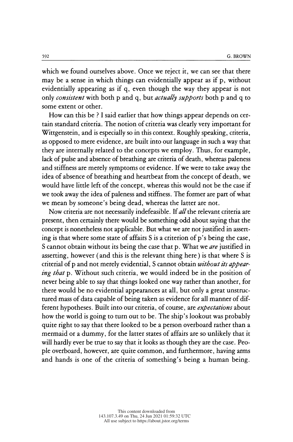SP2 G. BROWN<br>which we found ourselves above. Once we reject it, we can see that there<br>may be a sense in which things can evidentially appear as if p, without G. BROWN<br>which we found ourselves above. Once we reject it, we can see that there<br>may be a sense in which things can evidentially appear as if p, without<br>evidentially appearing as if q, even though the way they appear is n which we found ourselves above. Once we reject it, we can see that there<br>may be a sense in which things can evidentially appear as if p, without<br>evidentially appearing as if q, even though the way they appear is not<br>only which we found ourselves above. Once we reject it, we can see that there<br>may be a sense in which things can evidentially appear as if p, without<br>evidentially appearing as if q, even though the way they appear is not<br>only may be a sense in which things can evidentially appear as it p, without<br>evidentially appearing as if q, even though the way they appear is not<br>only *consistent* with both p and q, but *actually supports* both p and q to<br>so dentially appearing as if q, even though the way they appear is not<br>ly *consistent* with both p and q, but *actually supports* both p and q to<br>me extent or other.<br>How can this be ? I said earlier that how things appear dep

only consistent with both p and q, but actually supports both p and q to<br>some extent or other.<br>How can this be ? I said earlier that how things appear depends on cer-<br>tain standard criteria. The notion of criteria was clea Some extent of other.<br>How can this be? I said earlier that how things appear depends on cer-<br>tain standard criteria. The notion of criteria was clearly very important for<br>Wittgenstein, and is especially so in this context. How can this be ? I said earlier that how things appear depends on cer-<br>tain standard criteria. The notion of criteria was clearly very important for<br>Wittgenstein, and is especially so in this context. Roughly speaking, cr tain standard criteria. The notion of criteria was clearly very important for<br>Wittgenstein, and is especially so in this context. Roughly speaking, criteria,<br>as opposed to mere evidence, are built into our language in such Wittgenstein, and is especially so in this context. Roughly speaking, criteria,<br>as opposed to mere evidence, are built into our language in such a way that<br>they are internally related to the concepts we employ. Thus, for e as opposed to mere evidence, are built into our language in such a way that<br>they are internally related to the concepts we employ. Thus, for example,<br>lack of pulse and absence of breathing are criteria of death, whereas pa they are internally related to the concepts we employ. Thus, for example,<br>lack of pulse and absence of breathing are criteria of death, whereas paleness<br>and stiffness are merely symptoms or evidence. If we were to take awa lack of pulse and absence of breathing are criteria of death, whereas paleness<br>and stiffness are merely symptoms or evidence. If we were to take away the<br>idea of absence of breathing and heartbeat from the concept of death and stiffness are increty symptoms of evidence. If we were to take away the<br>idea of absence of breathing and heartbeat from the concept of death, we<br>would have little left of the concept, whereas this would not be the case idea of absence of breathing and heartbeat from the concept of death, we<br>would have little left of the concept, whereas this would not be the case if<br>we took away the idea of paleness and stiffness. The former are part of  $\alpha$ : took away the idea of paleness and stiffness. The former are part of what  $\alpha$ : mean by someone's being dead, whereas the latter are not.<br>Now criteria are not necessarily indefeasible. If *all* the relevant criteria

we took away the idea of paleness and stiffness. The former are part of what<br>we mean by someone's being dead, whereas the latter are not.<br>Now criteria are not necessarily indefeasible. If all the relevant criteria are<br>pres Now criteria are not necessarily indefeasible. If all the relevant criteria are<br>present, then certainly there would be something odd about saying that the<br>concept is nonetheless not applicable. But what we are not justifie Now criteria are not necessarily indeteasible. It all the relevant criteria are<br>present, then certainly there would be something odd about saying that the<br>concept is nonetheless not applicable. But what we are not justifie present, then certainly there would be something odd about saying that the<br>concept is nonetheless not applicable. But what we are not justified in assert-<br>ing is that where some state of affairs S is a criterion of p's bei concept is nonetheless not applicable. But what we are not justified in asserting is that where some state of affairs S is a criterion of p's being the case, S cannot obtain without its being the case that p. What we *are* ing is that where some state of affairs S is a criterion of p's being the case,<br>S cannot obtain without its being the case that p. What we *are* justified in<br>asserting, however (and this is the relevant thing here) is that S cannot obtain without its being the case that p. What we *are* justified in<br>asserting, however (and this is the relevant thing here) is that where S is<br>criterial of p and not merely evidential, S cannot obtain *without i* asserting, nowever (and this is the relevant thing here) is that where S is<br>criterial of p and not merely evidential, S cannot obtain *without its appear-*<br>ing that p. Without such criteria, we would indeed be in the posit criterial of p and not merely evidential, S cannot obtain *without its appear-*<br>ing that p. Without such criteria, we would indeed be in the position of<br>never being able to say that things looked one way rather than anothe *ing that* p. Without such criteria, we would indeed be in the position of never being able to say that things looked one way rather than another, for there would be no evidential appearances at all, but only a great unstr never being able to say that things looked one way rather than another, for<br>there would be no evidential appearances at all, but only a great unstruc-<br>tured mass of data capable of being taken as evidence for all manner of there would be no evidential appearances at all, but only a great unstructured mass of data capable of being taken as evidence for all manner of different hypotheses. Built into our criteria, of course, are *expectations* tured mass of data capable of being taken as evidence for all manner of different hypotheses. Built into our criteria, of course, are *expectations* about how the world is going to turn out to be. The ship's lookout was pr rerent hypotheses. Built into our criteria, or course, are *expectations* about<br>how the world is going to turn out to be. The ship's lookout was probably<br>quite right to say that there looked to be a person overboard rather The suite right to say that there looked to be. The sinp's lookout was probably<br>quite right to say that there looked to be a person overboard rather than a<br>mermaid or a dummy, for the latter states of affairs are so unlike quite right to say that there looked to be a person overboard rather than a<br>mermaid or a dummy, for the latter states of affairs are so unlikely that it<br>will hardly ever be true to say that it looks as though they are the mermaid or a dummy, for the latter states of affairs are so unlikely that it<br>will hardly ever be true to say that it looks as though they are the case. Peo-<br>ple overboard, however, are quite common, and furthermore, having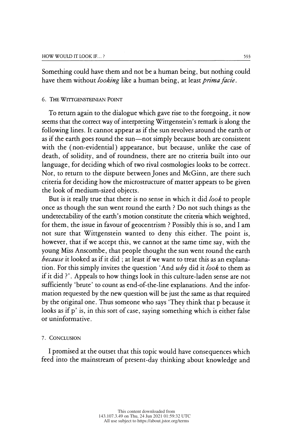Something could have them and not be a human being, but nothing could have them without *looking* like a human being, at least *prima facie*.

#### 6. The Wittgensteinian Point

 To return again to the dialogue which gave rise to the foregoing, it now seems that the correct way of interpreting Wittgenstein's remark is along the following lines. It cannot appear as if the sun revolves around the earth or as if the earth goes round the sun—not simply because both are consistent with the (non-evidential) appearance, but because, unlike the case of death, of solidity, and of roundness, there are no criteria built into our language, for deciding which of two rival cosmologies looks to be correct. Nor, to return to the dispute between Jones and McGinn, are there such criteria for deciding how the microstructure of matter appears to be given the look of medium-sized objects.

But is it really true that there is no sense in which it did look to people once as though the sun went round the earth ? Do not such things as the undetectability of the earth's motion constitute the criteria which weighted, for them, the issue in favour of geocentrism ? Possibly this is so, and I am not sure that Wittgenstein wanted to deny this either. The point is, however, that if we accept this, we cannot at the same time say, with the young Miss Anscombe, that people thought the sun went round the earth because it looked as if it did ; at least if we want to treat this as an explana tion. For this simply invites the question 'And  $wby$  did it look to them as if it did ?'. Appeals to how things look in this culture-laden sense are not sufficiently 'brute' to count as end-of-the-line explanations. And the infor mation requested by the new question will be just the same as that required by the original one. Thus someone who says They think that p because it looks as if p' is, in this sort of case, saying something which is either false or uninformative.

### 7. Conclusion

 I promised at the outset that this topic would have consequences which feed into the mainstream of present-day thinking about knowledge and